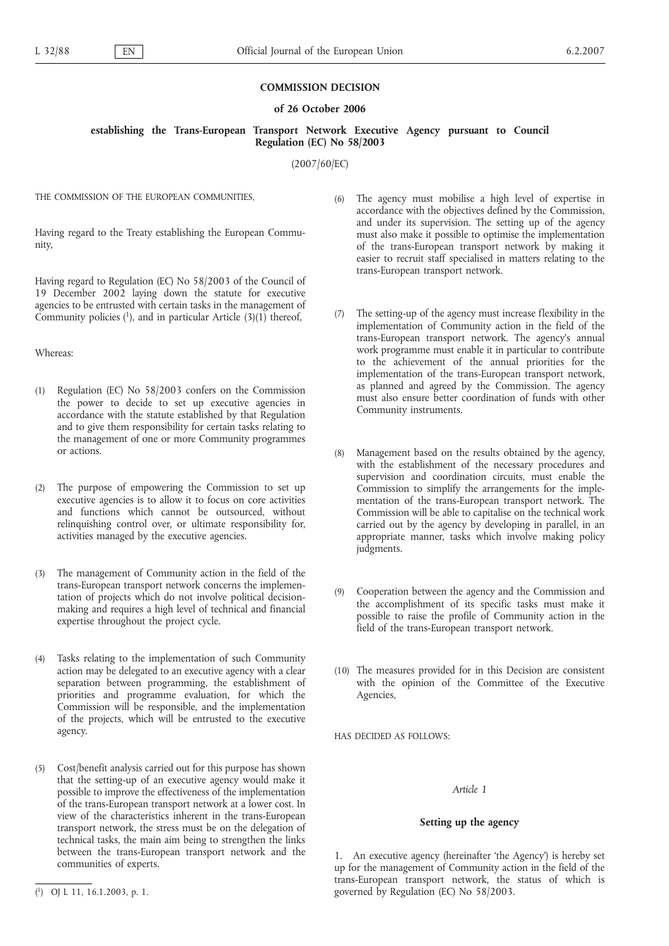### **COMMISSION DECISION**

### **of 26 October 2006**

## **establishing the Trans-European Transport Network Executive Agency pursuant to Council Regulation (EC) No 58/2003**

(2007/60/EC)

THE COMMISSION OF THE FUROPEAN COMMUNITIES

Having regard to the Treaty establishing the European Community,

Having regard to Regulation (EC) No 58/2003 of the Council of 19 December 2002 laying down the statute for executive agencies to be entrusted with certain tasks in the management of Community policies  $(1)$ , and in particular Article  $(3)(1)$  thereof,

## Whereas:

- (1) Regulation (EC) No 58/2003 confers on the Commission the power to decide to set up executive agencies in accordance with the statute established by that Regulation and to give them responsibility for certain tasks relating to the management of one or more Community programmes or actions.
- (2) The purpose of empowering the Commission to set up executive agencies is to allow it to focus on core activities and functions which cannot be outsourced, without relinquishing control over, or ultimate responsibility for, activities managed by the executive agencies.
- (3) The management of Community action in the field of the trans-European transport network concerns the implementation of projects which do not involve political decisionmaking and requires a high level of technical and financial expertise throughout the project cycle.
- (4) Tasks relating to the implementation of such Community action may be delegated to an executive agency with a clear separation between programming, the establishment of priorities and programme evaluation, for which the Commission will be responsible, and the implementation of the projects, which will be entrusted to the executive agency.
- (5) Cost/benefit analysis carried out for this purpose has shown that the setting-up of an executive agency would make it possible to improve the effectiveness of the implementation of the trans-European transport network at a lower cost. In view of the characteristics inherent in the trans-European transport network, the stress must be on the delegation of technical tasks, the main aim being to strengthen the links between the trans-European transport network and the communities of experts.
- (6) The agency must mobilise a high level of expertise in accordance with the objectives defined by the Commission, and under its supervision. The setting up of the agency must also make it possible to optimise the implementation of the trans-European transport network by making it easier to recruit staff specialised in matters relating to the trans-European transport network.
- (7) The setting-up of the agency must increase flexibility in the implementation of Community action in the field of the trans-European transport network. The agency's annual work programme must enable it in particular to contribute to the achievement of the annual priorities for the implementation of the trans-European transport network, as planned and agreed by the Commission. The agency must also ensure better coordination of funds with other Community instruments.
- (8) Management based on the results obtained by the agency, with the establishment of the necessary procedures and supervision and coordination circuits, must enable the Commission to simplify the arrangements for the implementation of the trans-European transport network. The Commission will be able to capitalise on the technical work carried out by the agency by developing in parallel, in an appropriate manner, tasks which involve making policy judgments.
- (9) Cooperation between the agency and the Commission and the accomplishment of its specific tasks must make it possible to raise the profile of Community action in the field of the trans-European transport network.
- (10) The measures provided for in this Decision are consistent with the opinion of the Committee of the Executive Agencies,

HAS DECIDED AS FOLLOWS:

#### *Article 1*

#### **Setting up the agency**

1. An executive agency (hereinafter 'the Agency') is hereby set up for the management of Community action in the field of the trans-European transport network, the status of which is governed by Regulation (EC) No 58/2003.

<sup>(</sup> 1) OJ L 11, 16.1.2003, p. 1.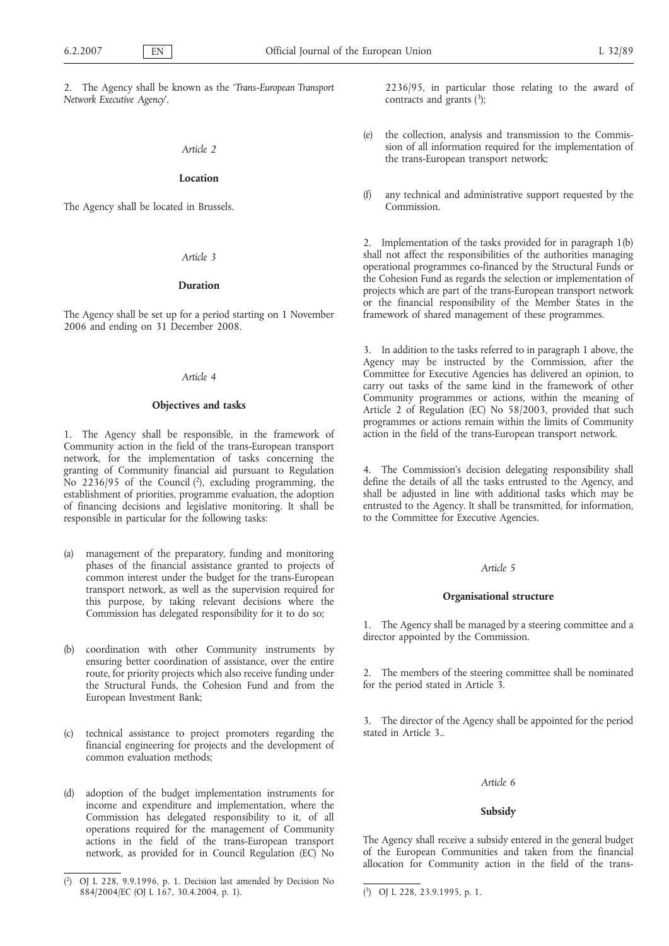2. The Agency shall be known as the '*Trans-European Transport Network Executive Agency*'.

#### *Article 2*

## **Location**

The Agency shall be located in Brussels.

### *Article 3*

#### **Duration**

The Agency shall be set up for a period starting on 1 November 2006 and ending on 31 December 2008.

### *Article 4*

#### **Objectives and tasks**

1. The Agency shall be responsible, in the framework of Community action in the field of the trans-European transport network, for the implementation of tasks concerning the granting of Community financial aid pursuant to Regulation No  $2236/95$  of the Council  $(2)$ , excluding programming, the establishment of priorities, programme evaluation, the adoption of financing decisions and legislative monitoring. It shall be responsible in particular for the following tasks:

- (a) management of the preparatory, funding and monitoring phases of the financial assistance granted to projects of common interest under the budget for the trans-European transport network, as well as the supervision required for this purpose, by taking relevant decisions where the Commission has delegated responsibility for it to do so;
- (b) coordination with other Community instruments by ensuring better coordination of assistance, over the entire route, for priority projects which also receive funding under the Structural Funds, the Cohesion Fund and from the European Investment Bank;
- (c) technical assistance to project promoters regarding the financial engineering for projects and the development of common evaluation methods;
- (d) adoption of the budget implementation instruments for income and expenditure and implementation, where the Commission has delegated responsibility to it, of all operations required for the management of Community actions in the field of the trans-European transport network, as provided for in Council Regulation (EC) No

2236/95, in particular those relating to the award of contracts and grants  $(3)$ ;

- (e) the collection, analysis and transmission to the Commission of all information required for the implementation of the trans-European transport network;
- (f) any technical and administrative support requested by the Commission.

2. Implementation of the tasks provided for in paragraph 1(b) shall not affect the responsibilities of the authorities managing operational programmes co-financed by the Structural Funds or the Cohesion Fund as regards the selection or implementation of projects which are part of the trans-European transport network or the financial responsibility of the Member States in the framework of shared management of these programmes.

3. In addition to the tasks referred to in paragraph 1 above, the Agency may be instructed by the Commission, after the Committee for Executive Agencies has delivered an opinion, to carry out tasks of the same kind in the framework of other Community programmes or actions, within the meaning of Article 2 of Regulation (EC) No 58/2003, provided that such programmes or actions remain within the limits of Community action in the field of the trans-European transport network.

4. The Commission's decision delegating responsibility shall define the details of all the tasks entrusted to the Agency, and shall be adjusted in line with additional tasks which may be entrusted to the Agency. It shall be transmitted, for information, to the Committee for Executive Agencies.

### *Article 5*

### **Organisational structure**

1. The Agency shall be managed by a steering committee and a director appointed by the Commission.

2. The members of the steering committee shall be nominated for the period stated in Article 3.

3. The director of the Agency shall be appointed for the period stated in Article 3..

### *Article 6*

#### **Subsidy**

The Agency shall receive a subsidy entered in the general budget of the European Communities and taken from the financial allocation for Community action in the field of the trans-

<sup>(</sup> 2) OJ L 228, 9.9.1996, p. 1. Decision last amended by Decision No 884/2004/EC (OJ L 167, 30.4.2004, p. 1). (

<sup>3)</sup> OJ L 228, 23.9.1995, p. 1.